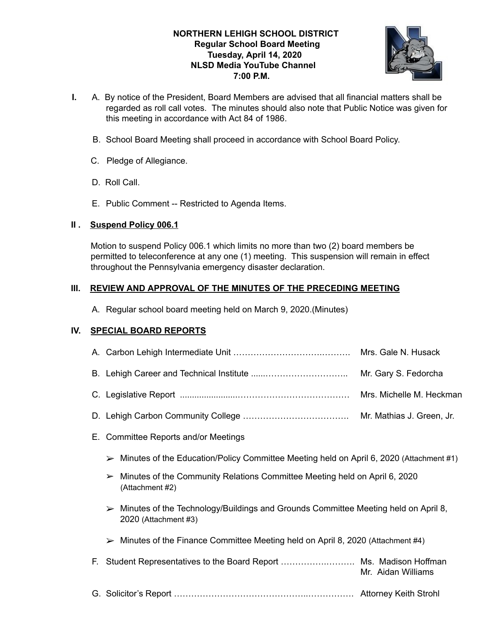## **NORTHERN LEHIGH SCHOOL DISTRICT Regular School Board Meeting Tuesday, April 14, 2020 NLSD Media YouTube Channel 7:00 P.M.**



- **I.** A. By notice of the President, Board Members are advised that all financial matters shall be regarded as roll call votes. The minutes should also note that Public Notice was given for this meeting in accordance with Act 84 of 1986.
	- B. School Board Meeting shall proceed in accordance with School Board Policy.
	- C. Pledge of Allegiance.
	- D. Roll Call.
	- E. Public Comment -- Restricted to Agenda Items.

## **II . Suspend Policy 006.1**

Motion to suspend Policy 006.1 which limits no more than two (2) board members be permitted to teleconference at any one (1) meeting. This suspension will remain in effect throughout the Pennsylvania emergency disaster declaration.

## **III. REVIEW AND APPROVAL OF THE MINUTES OF THE PRECEDING MEETING**

A. Regular school board meeting held on March 9, 2020.(Minutes)

# **IV. SPECIAL BOARD REPORTS**

|    |                                                                                                                                                                                                                                | Mrs. Gale N. Husack      |  |  |
|----|--------------------------------------------------------------------------------------------------------------------------------------------------------------------------------------------------------------------------------|--------------------------|--|--|
|    |                                                                                                                                                                                                                                | Mr. Gary S. Fedorcha     |  |  |
|    |                                                                                                                                                                                                                                | Mrs. Michelle M. Heckman |  |  |
|    | Mr. Mathias J. Green, Jr.                                                                                                                                                                                                      |                          |  |  |
| Е. | <b>Committee Reports and/or Meetings</b>                                                                                                                                                                                       |                          |  |  |
|    | $\triangleright$ Minutes of the Education/Policy Committee Meeting held on April 6, 2020 (Attachment #1)                                                                                                                       |                          |  |  |
|    | Minutes of the Community Relations Committee Meeting held on April 6, 2020<br>➤<br>(Attachment #2)                                                                                                                             |                          |  |  |
|    | $\triangleright$ Minutes of the Technology/Buildings and Grounds Committee Meeting held on April 8,<br>2020 (Attachment #3)<br>$\triangleright$ Minutes of the Finance Committee Meeting held on April 8, 2020 (Attachment #4) |                          |  |  |
|    |                                                                                                                                                                                                                                |                          |  |  |
| E. |                                                                                                                                                                                                                                | Mr. Aidan Williams       |  |  |
|    |                                                                                                                                                                                                                                |                          |  |  |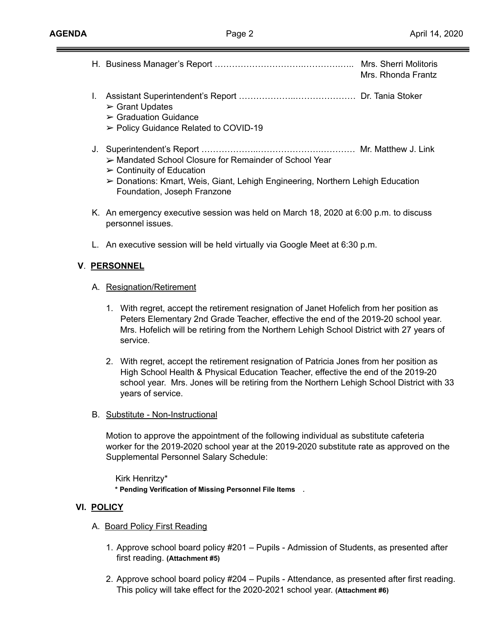Ξ

|            |                                                                             |                                                                                                                                                                                                                                                                                                 | Mrs. Rhonda Frantz |  |
|------------|-----------------------------------------------------------------------------|-------------------------------------------------------------------------------------------------------------------------------------------------------------------------------------------------------------------------------------------------------------------------------------------------|--------------------|--|
|            | L.                                                                          | $\triangleright$ Grant Updates<br>$\triangleright$ Graduation Guidance<br>► Policy Guidance Related to COVID-19                                                                                                                                                                                 |                    |  |
|            |                                                                             | > Mandated School Closure for Remainder of School Year<br>$\triangleright$ Continuity of Education<br>> Donations: Kmart, Weis, Giant, Lehigh Engineering, Northern Lehigh Education<br>Foundation, Joseph Franzone                                                                             |                    |  |
|            |                                                                             | K. An emergency executive session was held on March 18, 2020 at 6:00 p.m. to discuss<br>personnel issues.                                                                                                                                                                                       |                    |  |
|            | L. An executive session will be held virtually via Google Meet at 6:30 p.m. |                                                                                                                                                                                                                                                                                                 |                    |  |
|            |                                                                             | V. PERSONNEL                                                                                                                                                                                                                                                                                    |                    |  |
|            | A. Resignation/Retirement                                                   |                                                                                                                                                                                                                                                                                                 |                    |  |
|            |                                                                             | 1. With regret, accept the retirement resignation of Janet Hofelich from her position as<br>Peters Elementary 2nd Grade Teacher, effective the end of the 2019-20 school year.<br>Mrs. Hofelich will be retiring from the Northern Lehigh School District with 27 years of<br>service.          |                    |  |
|            |                                                                             | 2. With regret, accept the retirement resignation of Patricia Jones from her position as<br>High School Health & Physical Education Teacher, effective the end of the 2019-20<br>school year. Mrs. Jones will be retiring from the Northern Lehigh School District with 33<br>years of service. |                    |  |
|            |                                                                             | B. Substitute - Non-Instructional                                                                                                                                                                                                                                                               |                    |  |
|            |                                                                             | Motion to approve the appointment of the following individual as substitute cafeteria<br>worker for the 2019-2020 school year at the 2019-2020 substitute rate as approved on the<br>Supplemental Personnel Salary Schedule:                                                                    |                    |  |
|            |                                                                             | Kirk Henritzy*<br>* Pending Verification of Missing Personnel File Items .                                                                                                                                                                                                                      |                    |  |
| VI. POLICY |                                                                             |                                                                                                                                                                                                                                                                                                 |                    |  |
|            | A. Board Policy First Reading                                               |                                                                                                                                                                                                                                                                                                 |                    |  |
|            |                                                                             | 1. Approve school board policy #201 – Pupils - Admission of Students, as presented after<br>first reading. (Attachment #5)                                                                                                                                                                      |                    |  |

2. Approve school board policy #204 – Pupils - Attendance, as presented after first reading. This policy will take effect for the 2020-2021 school year. **(Attachment #6)**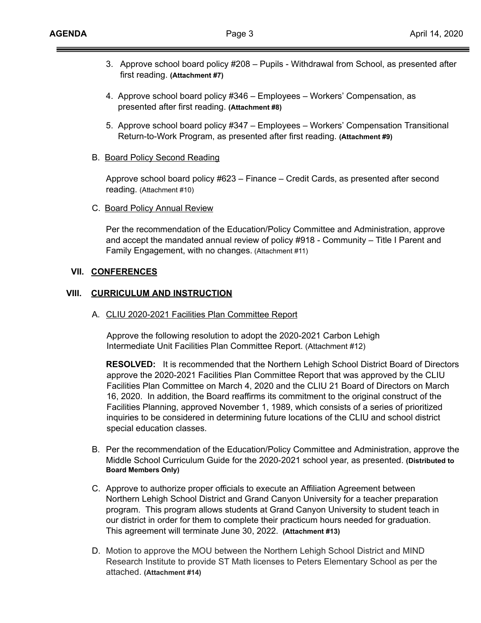- 3. Approve school board policy #208 Pupils Withdrawal from School, as presented after first reading. **(Attachment #7)**
- 4. Approve school board policy #346 Employees Workers' Compensation, as presented after first reading. **(Attachment #8)**
- 5. Approve school board policy #347 Employees Workers' Compensation Transitional Return-to-Work Program, as presented after first reading. **(Attachment #9)**
- B. Board Policy Second Reading

Approve school board policy #623 – Finance – Credit Cards, as presented after second reading. (Attachment #10)

C. Board Policy Annual Review

Per the recommendation of the Education/Policy Committee and Administration, approve and accept the mandated annual review of policy #918 - Community – Title I Parent and Family Engagement, with no changes. (Attachment #11)

#### **VII. CONFERENCES**

#### **VIII. CURRICULUM AND INSTRUCTION**

A. CLIU 2020-2021 Facilities Plan Committee Report

Approve the following resolution to adopt the 2020-2021 Carbon Lehigh Intermediate Unit Facilities Plan Committee Report. (Attachment #12)

**RESOLVED:** It is recommended that the Northern Lehigh School District Board of Directors approve the 2020-2021 Facilities Plan Committee Report that was approved by the CLIU Facilities Plan Committee on March 4, 2020 and the CLIU 21 Board of Directors on March 16, 2020. In addition, the Board reaffirms its commitment to the original construct of the Facilities Planning, approved November 1, 1989, which consists of a series of prioritized inquiries to be considered in determining future locations of the CLIU and school district special education classes.

- B. Per the recommendation of the Education/Policy Committee and Administration, approve the Middle School Curriculum Guide for the 2020-2021 school year, as presented. **(Distributed to Board Members Only)**
- C. Approve to authorize proper officials to execute an Affiliation Agreement between Northern Lehigh School District and Grand Canyon University for a teacher preparation program. This program allows students at Grand Canyon University to student teach in our district in order for them to complete their practicum hours needed for graduation. This agreement will terminate June 30, 2022. **(Attachment #13)**
- D. Motion to approve the MOU between the Northern Lehigh School District and MIND Research Institute to provide ST Math licenses to Peters Elementary School as per the attached. **(Attachment #14)**